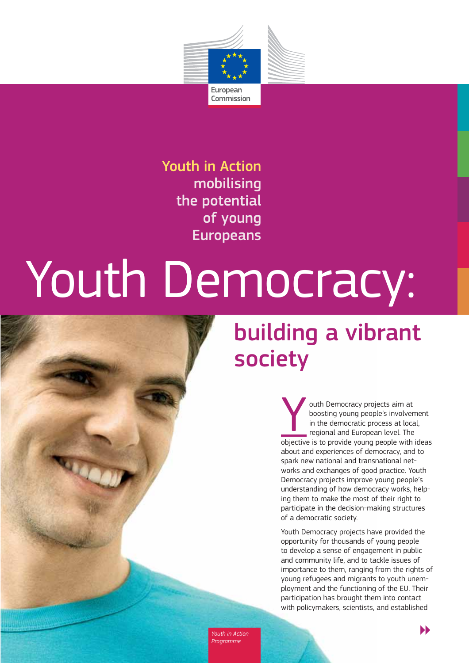

Youth in Action mobilising the potential of young Europeans

# Youth Democracy:

# building a vibrant society

outh Democracy projects aim at<br>boosting young people's involver<br>in the democratic process at loca<br>regional and European level. The boosting young people's involvement in the democratic process at local, regional and European level. The objective is to provide young people with ideas about and experiences of democracy, and to spark new national and transnational networks and exchanges of good practice. Youth Democracy projects improve young people's understanding of how democracy works, helping them to make the most of their right to participate in the decision-making structures of a democratic society.

Youth Democracy projects have provided the opportunity for thousands of young people to develop a sense of engagement in public and community life, and to tackle issues of importance to them, ranging from the rights of young refugees and migrants to youth unemployment and the functioning of the EU. Their participation has brought them into contact with policymakers, scientists, and established

*Youth in Action* 

 $\blacktriangleright$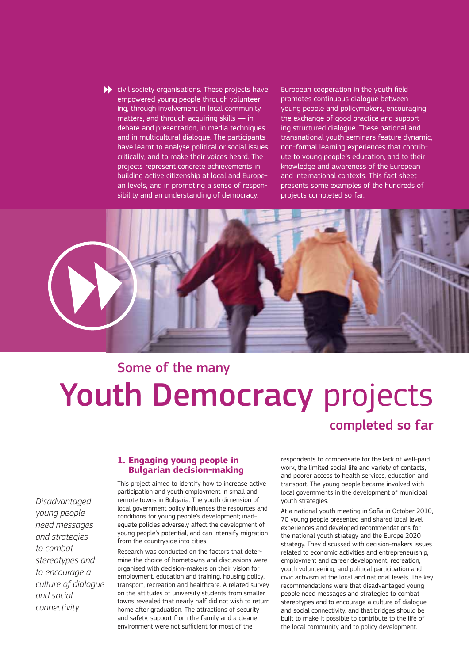$\blacktriangleright$  civil society organisations. These projects have empowered young people through volunteering, through involvement in local community matters, and through acquiring skills — in debate and presentation, in media techniques and in multicultural dialogue. The participants have learnt to analyse political or social issues critically, and to make their voices heard. The projects represent concrete achievements in building active citizenship at local and European levels, and in promoting a sense of responsibility and an understanding of democracy.

European cooperation in the youth field promotes continuous dialogue between young people and policymakers, encouraging the exchange of good practice and supporting structured dialogue. These national and transnational youth seminars feature dynamic, non-formal learning experiences that contribute to young people's education, and to their knowledge and awareness of the European and international contexts. This fact sheet presents some examples of the hundreds of projects completed so far.



# Youth Democracy projects Some of the many completed so far

# **1. Engaging young people in Bulgarian decision-making**

*Disadvantaged young people need messages and strategies to combat stereotypes and to encourage a culture of dialogue and social connectivity*

This project aimed to identify how to increase active participation and youth employment in small and remote towns in Bulgaria. The youth dimension of local government policy influences the resources and conditions for young people's development; inad equate policies adversely affect the development of young people's potential, and can intensify migration from the countryside into cities.

Research was conducted on the factors that determine the choice of hometowns and discussions were organised with decision-makers on their vision for employment, education and training, housing policy, transport, recreation and healthcare. A related survey on the attitudes of university students from smaller towns revealed that nearly half did not wish to return home after graduation. The attractions of security and safety, support from the family and a cleaner environment were not sufficient for most of the

respondents to compensate for the lack of well-paid work, the limited social life and variety of contacts, and poorer access to health services, education and transport. The young people became involved with local governments in the development of municipal youth strategies.

At a national youth meeting in Sofia in October 2010, 70 young people presented and shared local level experiences and developed recommendations for the national youth strategy and the Europe 2020 strategy. They discussed with decision-makers issues related to economic activities and entrepreneurship, employment and career development, recreation, youth volunteering, and political participation and civic activism at the local and national levels. The key recommendations were that disadvantaged young people need messages and strategies to combat stereotypes and to encourage a culture of dialogue and social connectivity, and that bridges should be built to make it possible to contribute to the life of the local community and to policy development.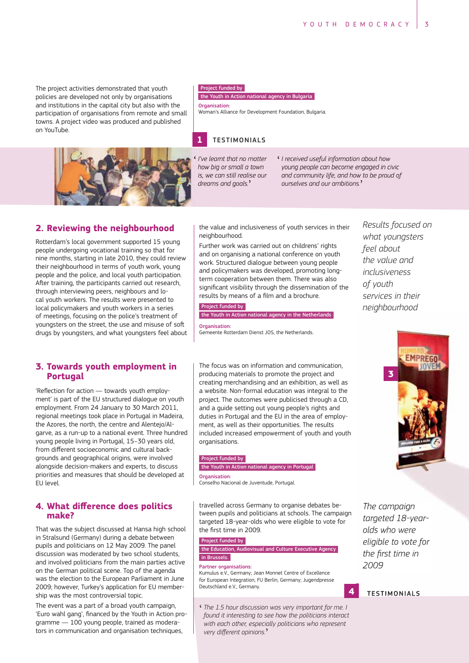The project activities demonstrated that youth policies are developed not only by organisations and institutions in the capital city but also with the participation of organisations from remote and small towns. A project video was produced and published on YouTube.



the Youth in Action national agency in Bulgaria

Organisation: Woman's Alliance for Development Foundation, Bulgaria.

# **1** TESTIMONIALS



I've learnt that no matter how big or small a town is, we can still realise our dreams and goals.'

I received useful information about how young people can become engaged in civic and community life, and how to be proud of ourselves and our ambitions.'

# **2. Reviewing the neighbourhood**

Rotterdam's local government supported 15 young people undergoing vocational training so that for nine months, starting in late 2010, they could review their neighbourhood in terms of youth work, young people and the police, and local youth participation. After training, the participants carried out research, through interviewing peers, neighbours and local youth workers. The results were presented to local policymakers and youth workers in a series of meetings, focusing on the police's treatment of youngsters on the street, the use and misuse of soft drugs by youngsters, and what youngsters feel about

# **3. Towards youth employment in Portugal**

'Reflection for action - towards youth employment' is part of the EU structured dialogue on youth employment. From 24 January to 30 March 2011, regional meetings took place in Portugal in Madeira, the Azores, the north, the centre and Alentejo/Algarve, as a run-up to a national event. Three hundred young people living in Portugal, 15-30 years old, from different socioeconomic and cultural backgrounds and geographical origins, were involved alongside decision-makers and experts, to discuss priorities and measures that should be developed at EU level.

# 4. What difference does politics **make?**

That was the subject discussed at Hansa high school in Stralsund (Germany) during a debate between pupils and politicians on 12 May 2009. The panel discussion was moderated by two school students, and involved politicians from the main parties active on the German political scene. Top of the agenda was the election to the European Parliament in June 2009; however, Turkey's application for EU membership was the most controversial topic.

The event was a part of a broad youth campaign, 'Euro wahl gang', financed by the Youth in Action programme - 100 young people, trained as moderators in communication and organisation techniques,

the value and inclusiveness of youth services in their neighbourhood

Further work was carried out on childrens' rights and on organising a national conference on youth work. Structured dialogue between young people and policymakers was developed, promoting longterm cooperation between them. There was also significant visibility through the dissemination of the results by means of a film and a brochure.

Project funded by

the Youth in Action national agency in the Netherlands

Organication: Gemeente Rotterdam Dienst JOS, the Netherlands.

The focus was on information and communication, producing materials to promote the project and creating merchandising and an exhibition, as well as a website. Non-formal education was integral to the project. The outcomes were publicised through a CD, and a guide setting out young people's rights and duties in Portugal and the EU in the area of employment, as well as their opportunities. The results included increased empowerment of youth and youth organisations.

#### Project funded by

the Youth in Action national agency in Portugal Organisation:

Conselho Nacional de Juventude, Portugal.

travelled across Germany to organise debates between pupils and politicians at schools. The campaign targeted 18-year-olds who were eligible to vote for the first time in 2009.

#### Project funded by

the Education, Audiovisual and Culture Executive Agency in Brussels.

#### Partner organisations:

Kumulus e.V., Germany; Jean Monnet Centre of Excellence for European Integration, FU Berlin, Germany; Jugendpresse Deutschland e.V., Germany.

' *The 1.5 hour discussion was very important for me. I found it interesting to see how the politicians interact with each other, especially politicians who represent* where each other, especied very different opinions."

*Results focused on what youngsters feel about the value and inclusiveness of youth services in their neighbourhood*



*The campaign targeted 18-yearolds who were eligible to vote for the first time in 2009*

**4** TESTIMONIALS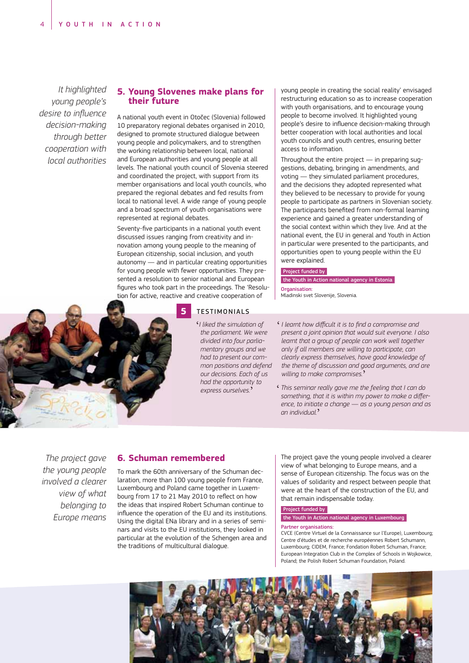*It highlighted young people's desire to influence decision-making through better cooperation with local authorities*

# **5. Young Slovenes make plans for their future**

A national youth event in Otočec (Slovenia) followed 10 preparatory regional debates organised in 2010, designed to promote structured dialogue between young people and policymakers, and to strengthen the working relationship between local, national and European authorities and young people at all levels. The national youth council of Slovenia steered and coordinated the project, with support from its member organisations and local youth councils, who prepared the regional debates and fed results from local to national level. A wide range of young people and a broad spectrum of youth organisations were represented at regional debates.

Seventy-five participants in a national youth event discussed issues ranging from creativity and innovation among young people to the meaning of European citizenship, social inclusion, and youth autonomy — and in particular creating opportunities for young people with fewer opportunities. They presented a resolution to senior national and European figures who took part in the proceedings. The 'Resolution for active, reactive and creative cooperation of

young people in creating the social reality' envisaged restructuring education so as to increase cooperation with youth organisations, and to encourage young people to become involved. It highlighted young people's desire to influence decision-making through better cooperation with local authorities and local youth councils and youth centres, ensuring better access to information.

Throughout the entire project — in preparing suggestions, debating, bringing in amendments, and voting — they simulated parliament procedures, and the decisions they adopted represented what they believed to be necessary to provide for young people to participate as partners in Slovenian society. The participants benefited from non-formal learning experience and gained a greater understanding of the social context within which they live. And at the national event, the EU in general and Youth in Action in particular were presented to the participants, and opportunities open to young people within the EU were explained.

# Project funded by

the Youth in Action national agency in Estonia Organisation:

Mladinski svet Slovenije, Slovenia.



#### **5** TESTIMONIALS

' *I liked the simulation of the parliament. We were divided into four parliamentary groups and we had to present our common positions and defend our decisions. Each of us had the opportunity to express ourselves.* '

- $\cdot$  *I* learnt how difficult it is to find a compromise and *present a joint opinion that would suit everyone. I also learnt that a group of people can work well together only if all members are willing to participate, can clearly express themselves, have good knowledge of the theme of discussion and good arguments, and are willing to make compromises.* '
- ' *This seminar really gave me the feeling that I can do* something, that it is within my power to make a differ*ence, to initiate a change — as a young person and as an individual.*'

*The project gave the young people involved a clearer view of what belonging to Europe means*

# **6. Schuman remembered**

To mark the 60th anniversary of the Schuman declaration, more than 100 young people from France, Luxembourg and Poland came together in Luxem bourg from 17 to 21 May 2010 to reflect on how the ideas that inspired Robert Schuman continue to influence the operation of the EU and its institutions. Using the digital ENa library and in a series of seminars and visits to the EU institutions, they looked in particular at the evolution of the Schengen area and the traditions of multicultural dialogue.

The project gave the young people involved a clearer view of what belonging to Europe means, and a sense of European citizenship. The focus was on the values of solidarity and respect between people that were at the heart of the construction of the EU, and that remain indispensable today.

#### Project funded by

## the Youth in Action national agency in Luxembourg

#### Partner organisations:

CVCE (Centre Virtuel de la Connaissance sur l'Europe), Luxembourg; Centre d'études et de recherche européennes Robert Schumann, Luxembourg; CIDEM, France; Fondation Robert Schuman, France; European Integration Club in the Complex of Schools in Wojkowice, Poland; the Polish Robert Schuman Foundation, Poland.

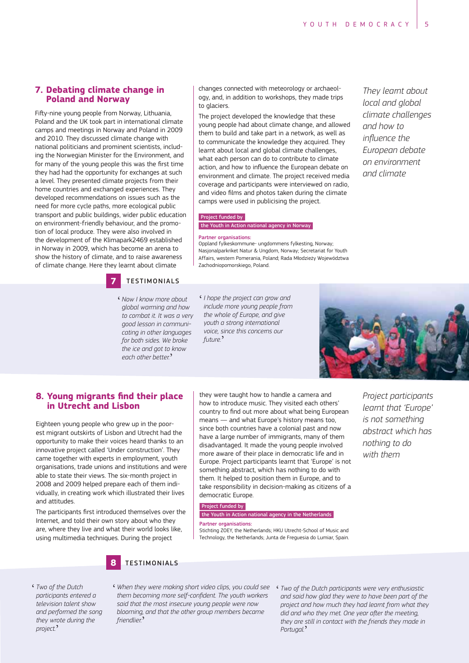# **7. Debating climate change in Poland and Norway**

Fifty-nine young people from Norway, Lithuania, Poland and the UK took part in international climate camps and meetings in Norway and Poland in 2009 and 2010. They discussed climate change with national politicians and prominent scientists, includ ing the Norwegian Minister for the Environment, and for many of the young people this was the first time they had had the opportunity for exchanges at such a level. They presented climate projects from their home countries and exchanged experiences. They developed recommendations on issues such as the need for more cycle paths, more ecological public transport and public buildings, wider public education on environment-friendly behaviour, and the promotion of local produce. They were also involved in the development of the Klimapark2469 established in Norway in 2009, which has become an arena to show the history of climate, and to raise awareness of climate change. Here they learnt about climate



' *Now I know more about global warming and how to combat it. It was a very good lesson in communicating in other languages for both sides. We broke the ice and got to know each other better.* '

changes connected with meteorology or archaeology, and, in addition to workshops, they made trips to glaciers.

The project developed the knowledge that these young people had about climate change, and allowed them to build and take part in a network, as well as to communicate the knowledge they acquired. They learnt about local and global climate challenges, what each person can do to contribute to climate action, and how to influence the European debate on environment and climate. The project received media coverage and participants were interviewed on radio, and video films and photos taken during the climate camps were used in publicising the project.

# Project funded by

the Youth in Action national agency in Norway

#### Partner organisations:

Oppland fylkeskommune- ungdommens fylkesting, Norway; Nasjonalparkriket Natur & Ungdom, Norway; Secretariat for Youth Affairs, western Pomerania, Poland; Rada Młodzieży Województwa Zachodniopomorskiego, Poland.

' *I hope the project can grow and include more young people from the whole of Europe, and give youth a strong international voice, since this concerns our future.* '

*They learnt about local and global climate challenges and how to influence* the *European debate on environment and climate*



# 8. Young migrants find their place **in Utrecht and Lisbon**

Eighteen young people who grew up in the poorest migrant outskirts of Lisbon and Utrecht had the opportunity to make their voices heard thanks to an innovative project called 'Under construction'. They came together with experts in employment, youth organisations, trade unions and institutions and were able to state their views. The six-month project in 2008 and 2009 helped prepare each of them individually, in creating work which illustrated their lives and attitudes.

The participants first introduced themselves over the Internet, and told their own story about who they are, where they live and what their world looks like, using multimedia techniques. During the project

they were taught how to handle a camera and how to introduce music. They visited each others' country to find out more about what being European means — and what Europe's history means too, since both countries have a colonial past and now have a large number of immigrants, many of them disadvantaged. It made the young people involved more aware of their place in democratic life and in Europe. Project participants learnt that 'Europe' is not something abstract, which has nothing to do with them. It helped to position them in Europe, and to take responsibility in decision-making as citizens of a democratic Europe.

#### Project funded by

# the Youth in Action national agency in the Netherlands Partner organisations:

Stichting ZOEY, the Netherlands; HKU Utrecht-School of Music and Technology, the Netherlands; Junta de Freguesia do Lumiar, Spain.

**8** TESTIMONIALS

- ' *When they were making short video clips, you could see*  them becoming more self-confident. The youth workers *said that the most insecure young people were now blooming, and that the other group members became friendlier.* '
- ' *Two of the Dutch participants were very enthusiastic and said how glad they were to have been part of the project and how much they had learnt from what they* did and who they met. One year after the meeting, *they are still in contact with the friends they made in Portugal.* '

' *Two of the Dutch participants entered a television talent show and performed the song they wrote during the project.* '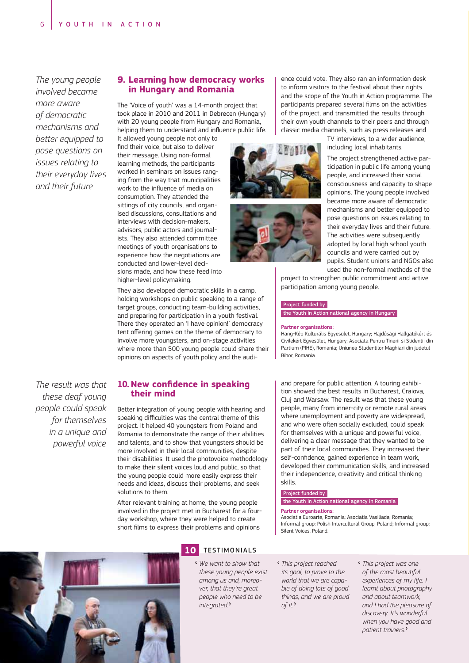*The young people involved became more aware of democratic mechanisms and better equipped to pose questions on issues relating to their everyday lives and their future*

# **9. Learning how democracy works in Hungary and Romania**

The 'Voice of youth' was a 14-month project that took place in 2010 and 2011 in Debrecen (Hungary) with 20 young people from Hungary and Romania, helping them to understand and influence public life.

It allowed young people not only to find their voice, but also to deliver their message. Using non-formal learning methods, the participants worked in seminars on issues ranging from the way that municipalities work to the influence of media on consumption. They attended the sittings of city councils, and organised discussions, consultations and interviews with decision-makers, advisors, public actors and journalists. They also attended committee meetings of youth organisations to experience how the negotiations are conducted and lower-level decisions made, and how these feed into higher-level policymaking.

They also developed democratic skills in a camp, holding workshops on public speaking to a range of target groups, conducting team-building activities, and preparing for participation in a youth festival. There they operated an 'I have opinion!' democracy tent offering games on the theme of democracy to involve more youngsters, and on-stage activities where more than 500 young people could share their opinions on aspects of youth policy and the audi-

*The result was that these deaf young people could speak for themselves in a unique and powerful voice*

# 10. New confidence in speaking **their mind**

Better integration of young people with hearing and speaking difficulties was the central theme of this project. It helped 40 youngsters from Poland and Romania to demonstrate the range of their abilities and talents, and to show that youngsters should be more involved in their local communities, despite their disabilities. It used the photovoice methodology to make their silent voices loud and public, so that the young people could more easily express their needs and ideas, discuss their problems, and seek solutions to them.

After relevant training at home, the young people involved in the project met in Bucharest for a fourday workshop, where they were helped to create short films to express their problems and opinions



' *We want to show that these young people exist among us and, moreover, that they're great people who need to be integrated.* '

ence could vote. They also ran an information desk to inform visitors to the festival about their rights and the scope of the Youth in Action programme. The participants prepared several films on the activities of the project, and transmitted the results through their own youth channels to their peers and through classic media channels, such as press releases and TV interviews, to a wider audience, including local inhabitants.





The project strengthened active participation in public life among young people, and increased their social consciousness and capacity to shape opinions. The young people involved became more aware of democratic mechanisms and better equipped to pose questions on issues relating to their everyday lives and their future. The activities were subsequently adopted by local high school youth councils and were carried out by pupils. Student unions and NGOs also

used the non-formal methods of the project to strengthen public commitment and active participation among young people.

#### Project funded by

the Youth in Action national agency in Hungary

#### Partner organisations:

Hang-Kép Kulturális Egyesület, Hungary; Hajdúsági Hallgatókért és Civilekért Egyesület, Hungary; Asociata Pentru Tinerii si Stidentii din Partium (PIHE), Romania; Uniunea Studentilor Maghiari din judetul Bihor, Romania.

and prepare for public attention. A touring exhibi tion showed the best results in Bucharest, Craiova, Cluj and Warsaw. The result was that these young people, many from inner-city or remote rural areas where unemployment and poverty are widespread, and who were often socially excluded, could speak for themselves with a unique and powerful voice, delivering a clear message that they wanted to be part of their local communities. They increased their self-confidence, gained experience in team work, developed their communication skills, and increased their independence, creativity and critical thinking skills.

#### Project funded by

# the Youth in Action national agency in Romania

#### Partner organisations:

Asociatia Euroarte, Romania; Asociatia Vasiliada, Romania; Informal group: Polish Intercultural Group, Poland; Informal group: Silent Voices, Poland.

' *This project reached its goal, to prove to the world that we are capable of doing lots of good things, and we are proud of it.* '

' *This project was one of the most beautiful experiences of my life. I learnt about photography and about teamwork, and I had the pleasure of discovery. It's wonderful when you have good and patient trainers.* '

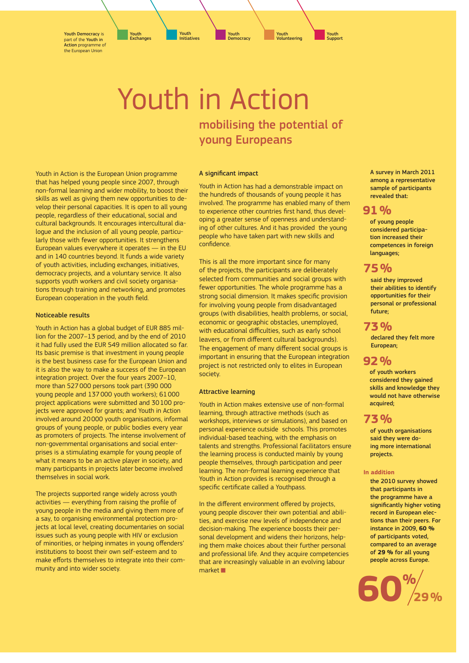Youth Democracy is part of the Youth in Action programme of the European Union

> Youth in Action mobilising the potential of young Europeans

#### A significant impact

Youth in Action has had a demonstrable impact on the hundreds of thousands of young people it has involved. The programme has enabled many of them to experience other countries first hand, thus developing a greater sense of openness and understanding of other cultures. And it has provided the young people who have taken part with new skills and confidence.

This is all the more important since for many of the projects, the participants are deliberately selected from communities and social groups with fewer opportunities. The whole programme has a strong social dimension. It makes specific provision for involving young people from disadvantaged groups (with disabilities, health problems, or social, economic or geographic obstacles, unemployed, with educational difficulties, such as early school leavers, or from different cultural backgrounds). The engagement of many different social groups is important in ensuring that the European integration project is not restricted only to elites in European society.

# Attractive learning

Youth in Action makes extensive use of non-formal learning, through attractive methods (such as workshops, interviews or simulations), and based on personal experience outside schools. This promotes individual-based teaching, with the emphasis on talents and strengths. Professional facilitators ensure the learning process is conducted mainly by young people themselves, through participation and peer learning. The non-formal learning experience that Youth in Action provides is recognised through a specific certificate called a Youthpass.

In the different environment offered by projects, young people discover their own potential and abilities, and exercise new levels of independence and decision-making. The experience boosts their personal development and widens their horizons, helping them make choices about their further personal and professional life. And they acquire competencies that are increasingly valuable in an evolving labour market

A survey in March 2011 among a representative sample of participants revealed that:

# **91 %**

of young people considered participation increased their competences in foreign languages;

# **75 %**

said they improved their abilities to identify opportunities for their personal or professional future;

# **73 %**

declared they felt more European;

# **92 %**

of youth workers considered they gained skills and knowledge they would not have otherwise acquired;

# **73 %**

of youth organisations said they were doing more international projects.

#### **In addition**

the 2010 survey showed that participants in the programme have a significantly higher voting record in European elections than their peers. For instance in 2009, **60 %** of participants voted, compared to an average of **29 %** for all young people across Europe.



Youth in Action is the European Union programme that has helped young people since 2007, through non-formal learning and wider mobility, to boost their skills as well as giving them new opportunities to develop their personal capacities. It is open to all young people, regardless of their educational, social and cultural backgrounds. It encourages intercultural dialogue and the inclusion of all young people, particularly those with fewer opportunities. It strengthens European values everywhere it operates — in the EU and in 140 countries beyond. It funds a wide variety of youth activities, including exchanges, initiatives, democracy projects, and a voluntary service. It also supports youth workers and civil society organisations through training and networking, and promotes European cooperation in the youth field.

# Noticeable results

Youth in Action has a global budget of EUR 885 million for the 2007-13 period, and by the end of 2010 it had fully used the EUR 549 million allocated so far. Its basic premise is that investment in young people is the best business case for the European Union and it is also the way to make a success of the European integration project. Over the four years 2007-10, more than 527 000 persons took part (390 000 young people and 137 000 youth workers); 61 000 project applications were submitted and 30100 projects were approved for grants; and Youth in Action involved around 20000 youth organisations, informal groups of young people, or public bodies every year as promoters of projects. The intense involvement of non-governmental organisations and social enterprises is a stimulating example for young people of what it means to be an active player in society, and many participants in projects later become involved themselves in social work.

The projects supported range widely across youth activities - everything from raising the profile of young people in the media and giving them more of a say, to organising environmental protection projects at local level, creating documentaries on social issues such as young people with HIV or exclusion of minorities, or helping inmates in young offenders' institutions to boost their own self-esteem and to make efforts themselves to integrate into their community and into wider society.

Y<mark>outh</mark><br>Initiatives Initiatives Youth Exchanges Youth **Democracy** 

Volunteering

Youth

Youth Support